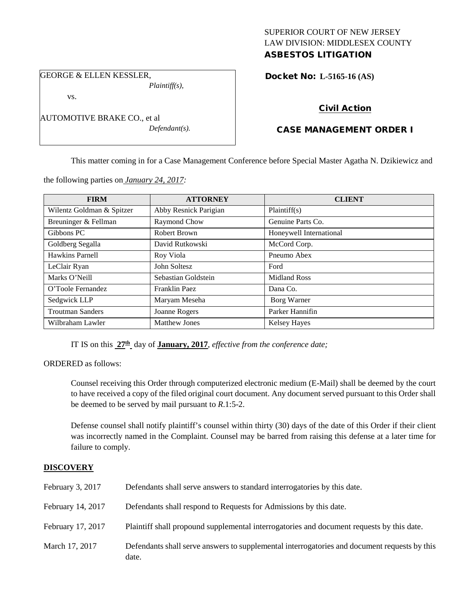### SUPERIOR COURT OF NEW JERSEY LAW DIVISION: MIDDLESEX COUNTY ASBESTOS LITIGATION

GEORGE & ELLEN KESSLER,

vs.

AUTOMOTIVE BRAKE CO., et al *Defendant(s).*

*Plaintiff(s),*

Docket No: **L-5165-16 (AS)** 

# Civil Action

# CASE MANAGEMENT ORDER I

This matter coming in for a Case Management Conference before Special Master Agatha N. Dzikiewicz and

the following parties on *January 24, 2017:*

| <b>FIRM</b>               | <b>ATTORNEY</b>       | <b>CLIENT</b>           |
|---------------------------|-----------------------|-------------------------|
| Wilentz Goldman & Spitzer | Abby Resnick Parigian | Plaintiff(s)            |
| Breuninger & Fellman      | Raymond Chow          | Genuine Parts Co.       |
| Gibbons PC                | Robert Brown          | Honeywell International |
| Goldberg Segalla          | David Rutkowski       | McCord Corp.            |
| Hawkins Parnell           | Roy Viola             | Pneumo Abex             |
| LeClair Ryan              | John Soltesz          | Ford                    |
| Marks O'Neill             | Sebastian Goldstein   | <b>Midland Ross</b>     |
| O'Toole Fernandez         | Franklin Paez         | Dana Co.                |
| Sedgwick LLP              | Maryam Meseha         | Borg Warner             |
| <b>Troutman Sanders</b>   | Joanne Rogers         | Parker Hannifin         |
| Wilbraham Lawler          | <b>Matthew Jones</b>  | <b>Kelsey Hayes</b>     |

IT IS on this **27th** day of **January, 2017**, *effective from the conference date;*

ORDERED as follows:

Counsel receiving this Order through computerized electronic medium (E-Mail) shall be deemed by the court to have received a copy of the filed original court document. Any document served pursuant to this Order shall be deemed to be served by mail pursuant to *R*.1:5-2.

Defense counsel shall notify plaintiff's counsel within thirty (30) days of the date of this Order if their client was incorrectly named in the Complaint. Counsel may be barred from raising this defense at a later time for failure to comply.

## **DISCOVERY**

| February 3, 2017  | Defendants shall serve answers to standard interrogatories by this date.                              |
|-------------------|-------------------------------------------------------------------------------------------------------|
| February 14, 2017 | Defendants shall respond to Requests for Admissions by this date.                                     |
| February 17, 2017 | Plaintiff shall propound supplemental interrogatories and document requests by this date.             |
| March 17, 2017    | Defendants shall serve answers to supplemental interrogatories and document requests by this<br>date. |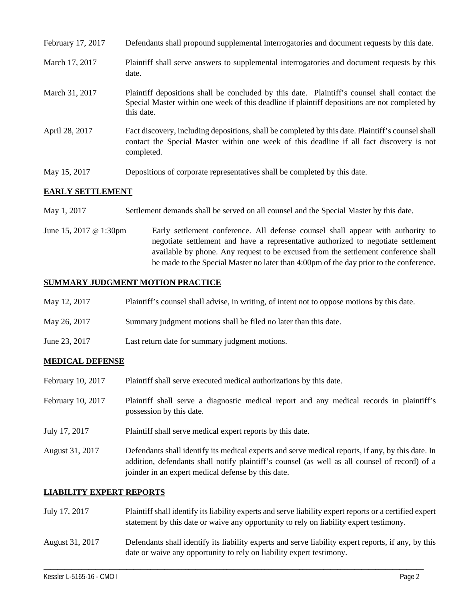| February 17, 2017 | Defendants shall propound supplemental interrogatories and document requests by this date.                                                                                                                  |
|-------------------|-------------------------------------------------------------------------------------------------------------------------------------------------------------------------------------------------------------|
| March 17, 2017    | Plaintiff shall serve answers to supplemental interrogatories and document requests by this<br>date.                                                                                                        |
| March 31, 2017    | Plaintiff depositions shall be concluded by this date. Plaintiff's counsel shall contact the<br>Special Master within one week of this deadline if plaintiff depositions are not completed by<br>this date. |
| April 28, 2017    | Fact discovery, including depositions, shall be completed by this date. Plaintiff's counsel shall<br>contact the Special Master within one week of this deadline if all fact discovery is not<br>completed. |
| May 15, 2017      | Depositions of corporate representatives shall be completed by this date.                                                                                                                                   |

### **EARLY SETTLEMENT**

- May 1, 2017 Settlement demands shall be served on all counsel and the Special Master by this date.
- June 15, 2017 @ 1:30pm Early settlement conference. All defense counsel shall appear with authority to negotiate settlement and have a representative authorized to negotiate settlement available by phone. Any request to be excused from the settlement conference shall be made to the Special Master no later than 4:00pm of the day prior to the conference.

## **SUMMARY JUDGMENT MOTION PRACTICE**

| May 12, 2017 | Plaintiff's counsel shall advise, in writing, of intent not to oppose motions by this date. |  |  |
|--------------|---------------------------------------------------------------------------------------------|--|--|
|              |                                                                                             |  |  |

- May 26, 2017 Summary judgment motions shall be filed no later than this date.
- June 23, 2017 Last return date for summary judgment motions.

## **MEDICAL DEFENSE**

| February 10, 2017 | Plaintiff shall serve executed medical authorizations by this date.                                                                                                                                                                                      |
|-------------------|----------------------------------------------------------------------------------------------------------------------------------------------------------------------------------------------------------------------------------------------------------|
| February 10, 2017 | Plaintiff shall serve a diagnostic medical report and any medical records in plaintiff's<br>possession by this date.                                                                                                                                     |
| July 17, 2017     | Plaintiff shall serve medical expert reports by this date.                                                                                                                                                                                               |
| August 31, 2017   | Defendants shall identify its medical experts and serve medical reports, if any, by this date. In<br>addition, defendants shall notify plaintiff's counsel (as well as all counsel of record) of a<br>joinder in an expert medical defense by this date. |

### **LIABILITY EXPERT REPORTS**

| July 17, 2017   | Plaintiff shall identify its liability experts and serve liability expert reports or a certified expert<br>statement by this date or waive any opportunity to rely on liability expert testimony. |
|-----------------|---------------------------------------------------------------------------------------------------------------------------------------------------------------------------------------------------|
| August 31, 2017 | Defendants shall identify its liability experts and serve liability expert reports, if any, by this<br>date or waive any opportunity to rely on liability expert testimony.                       |